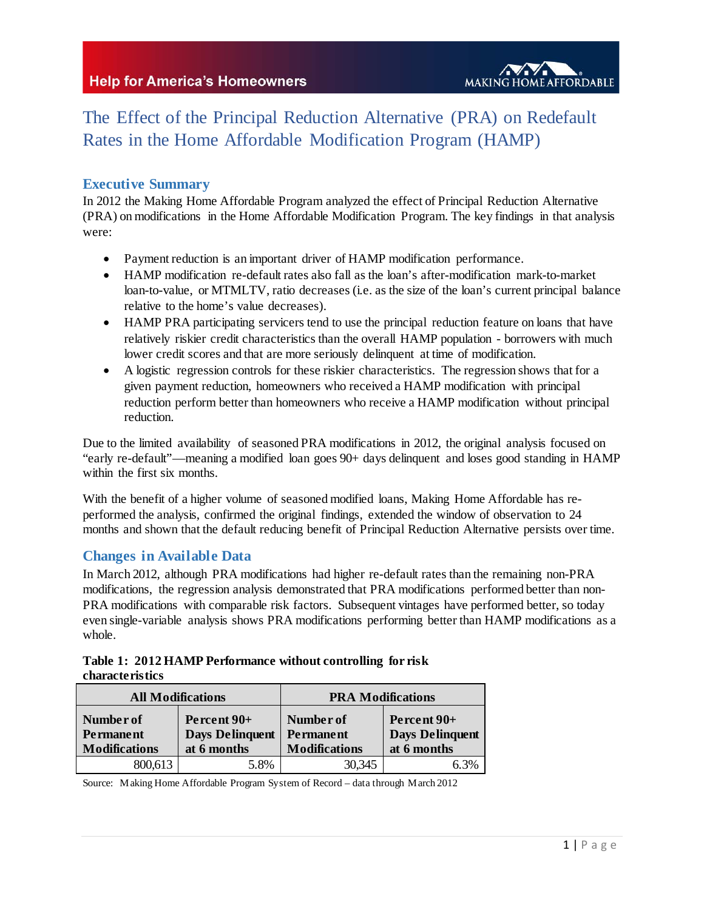

# The Effect of the Principal Reduction Alternative (PRA) on Redefault Rates in the Home Affordable Modification Program (HAMP)

## **Executive Summary**

In 2012 the Making Home Affordable Program analyzed the effect of Principal Reduction Alternative (PRA) on modifications in the Home Affordable Modification Program. The key findings in that analysis were:

- Payment reduction is an important driver of HAMP modification performance.
- HAMP modification re-default rates also fall as the loan's after-modification mark-to-market loan-to-value, or MTMLTV, ratio decreases (i.e. as the size of the loan's current principal balance relative to the home's value decreases).
- HAMP PRA participating servicers tend to use the principal reduction feature on loans that have relatively riskier credit characteristics than the overall HAMP population - borrowers with much lower credit scores and that are more seriously delinquent at time of modification.
- A logistic regression controls for these riskier characteristics. The regression shows that for a given payment reduction, homeowners who received a HAMP modification with principal reduction perform better than homeowners who receive a HAMP modification without principal reduction.

Due to the limited availability of seasoned PRA modifications in 2012, the original analysis focused on "early re-default"—meaning a modified loan goes 90+ days delinquent and loses good standing in HAMP within the first six months.

With the benefit of a higher volume of seasoned modified loans, Making Home Affordable has reperformed the analysis, confirmed the original findings, extended the window of observation to 24 months and shown that the default reducing benefit of Principal Reduction Alternative persists over time.

## **Changes in Available Data**

In March 2012, although PRA modifications had higher re-default rates than the remaining non-PRA modifications, the regression analysis demonstrated that PRA modifications performed better than non-PRA modifications with comparable risk factors. Subsequent vintages have performed better, so today even single-variable analysis shows PRA modifications performing better than HAMP modifications as a whole.

|                        | Table 1: 2012 HAMP Performance without controlling for risk |  |
|------------------------|-------------------------------------------------------------|--|
| <b>characteristics</b> |                                                             |  |

| <b>All Modifications</b>                              |                                                      | <b>PRA Modifications</b>                              |                                                      |  |
|-------------------------------------------------------|------------------------------------------------------|-------------------------------------------------------|------------------------------------------------------|--|
| Number of<br><b>Permanent</b><br><b>Modifications</b> | Percent 90+<br><b>Days Delinquent</b><br>at 6 months | Number of<br><b>Permanent</b><br><b>Modifications</b> | Percent 90+<br><b>Days Delinquent</b><br>at 6 months |  |
| 800,613                                               | 5.8%                                                 | 30,345                                                | 6.3%                                                 |  |

Source: Making Home Affordable Program System of Record – data through March 2012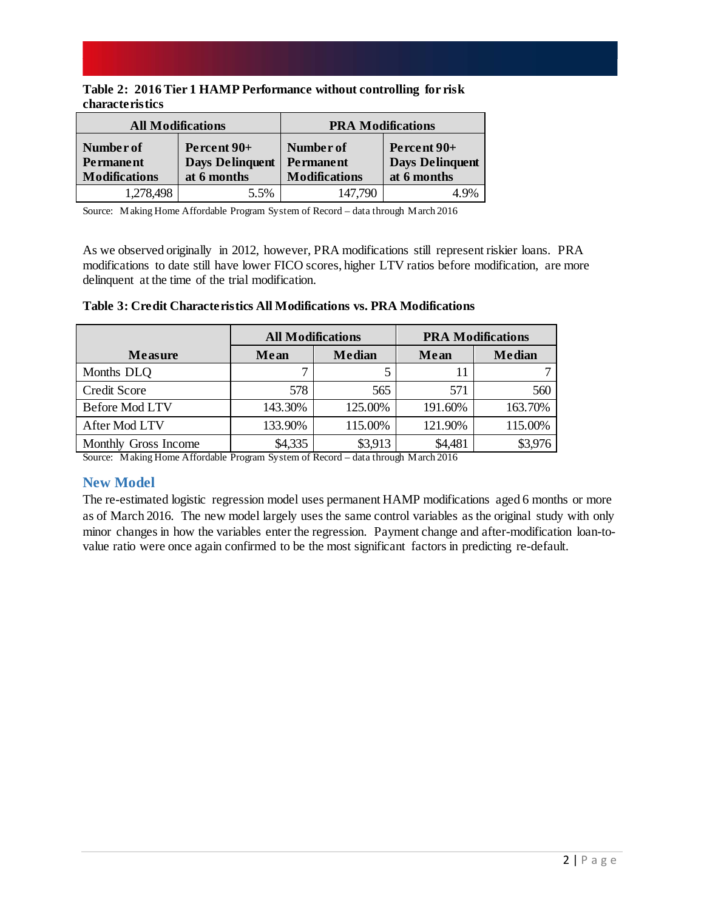|                        |  | Table 2: 2016 Tier 1 HAMP Performance without controlling for risk |  |  |
|------------------------|--|--------------------------------------------------------------------|--|--|
| <b>characteristics</b> |  |                                                                    |  |  |

|                                                       | <b>All Modifications</b>                             | <b>PRA Modifications</b>                              |                                                      |  |
|-------------------------------------------------------|------------------------------------------------------|-------------------------------------------------------|------------------------------------------------------|--|
| Number of<br><b>Permanent</b><br><b>Modifications</b> | Percent 90+<br><b>Days Delinquent</b><br>at 6 months | Number of<br><b>Permanent</b><br><b>Modifications</b> | Percent 90+<br><b>Days Delinquent</b><br>at 6 months |  |
| 1,278,498                                             | 5.5%                                                 | 147,790                                               | 4.9%                                                 |  |

Source: Making Home Affordable Program System of Record – data through March 2016

As we observed originally in 2012, however, PRA modifications still represent riskier loans. PRA modifications to date still have lower FICO scores, higher LTV ratios before modification, are more delinquent at the time of the trial modification.

|                       | <b>All Modifications</b> |               | <b>PRA Modifications</b> |               |  |
|-----------------------|--------------------------|---------------|--------------------------|---------------|--|
| <b>Measure</b>        | Mean                     | <b>Median</b> | Mean                     | <b>Median</b> |  |
| Months DLQ            |                          |               | 11                       |               |  |
| Credit Score          | 578                      | 565           | 571                      | 560           |  |
| <b>Before Mod LTV</b> | 143.30%                  | 125.00%       | 191.60%                  | 163.70%       |  |
| After Mod LTV         | 133.90%                  | 115.00%       | 121.90%                  | 115.00%       |  |
| Monthly Gross Income  | \$4,335                  | \$3,913       | \$4,481                  | \$3,976       |  |

#### **Table 3: Credit Characteristics All Modifications vs. PRA Modifications**

Source: Making Home Affordable Program System of Record – data through March 2016

## **New Model**

The re-estimated logistic regression model uses permanent HAMP modifications aged 6 months or more as of March 2016. The new model largely uses the same control variables as the original study with only minor changes in how the variables enter the regression. Payment change and after-modification loan-tovalue ratio were once again confirmed to be the most significant factors in predicting re-default.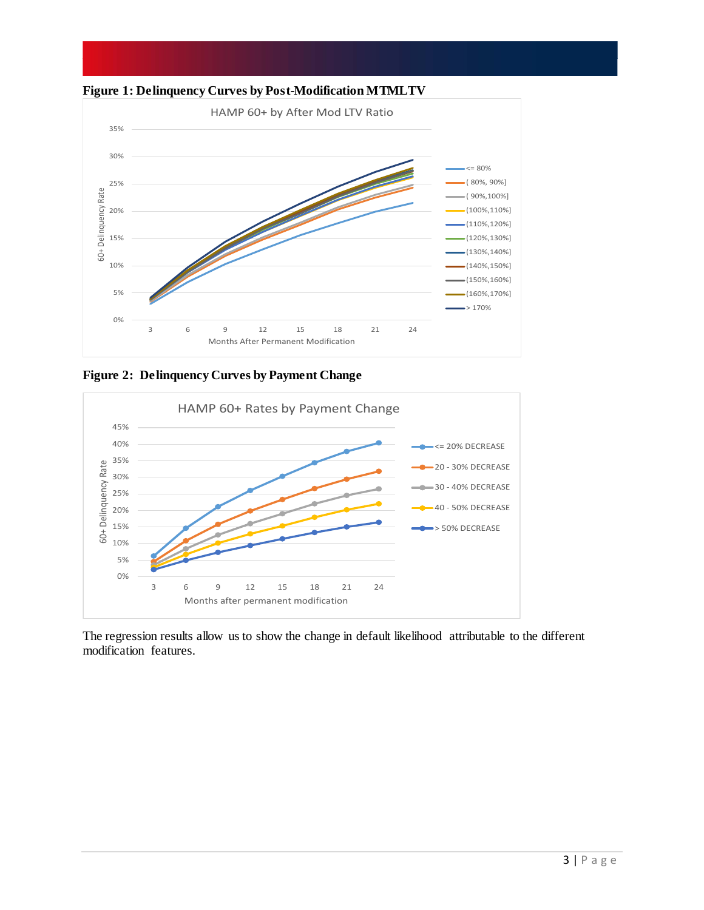

**Figure 1: Delinquency Curves by Post-Modification MTMLTV**

**Figure 2: Delinquency Curves by Payment Change**



The regression results allow us to show the change in default likelihood attributable to the different modification features.